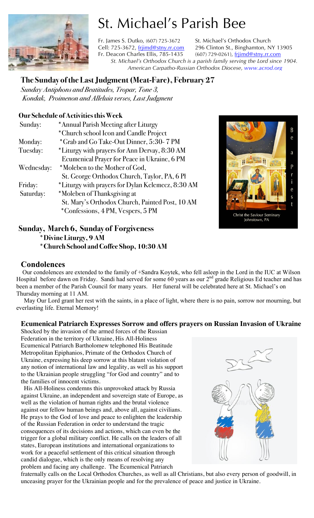

# St. Michael's Parish Bee

Fr. James S. Dutko, (607) 725-3672 St. Michael's Orthodox Church Cell: 725-3672, frijimd@stny.rr.com 296 Clinton St., Binghamton, NY 13905 Fr. Deacon Charles Ellis, 785-1435 (607) 729-0261), frjimd@stny.rr.com *St. Michael's Orthodox Church is a parish family serving the Lord since 1904. American Carpatho-Russian Orthodox Diocese, www.acrod.org*

### **The Sunday of the Last Judgment (Meat-Fare), February 27**

*Sunday Antiphons and Beatitudes, Tropar, Tone 3, Kondak, Proimenon and Alleluia verses, Last Judgment* 

### **Our Schedule of Activities this Week**

| Sunday:    | *Annual Parish Meeting after Liturgy              |  |
|------------|---------------------------------------------------|--|
|            | *Church school Icon and Candle Project            |  |
| Monday:    | *Grab and Go Take-Out Dinner, 5:30-7 PM           |  |
| Tuesday:   | *Liturgy with prayers for Ann Dervay, 8:30 AM     |  |
|            | Ecumenical Prayer for Peace in Ukraine, 6 PM      |  |
| Wednesday: | *Moleben to the Mother of God,                    |  |
|            | St. George Orthodox Church, Taylor, PA, 6 Pl      |  |
| Friday:    | *Liturgy with prayers for Dylan Kelemecz, 8:30 AM |  |
| Saturday:  | *Moleben of Thanksgiving at                       |  |
|            | St. Mary's Orthodox Church, Painted Post, 10 AM   |  |
|            | *Confessions, 4 PM, Vespers, 5 PM                 |  |



### **Sunday, March 6, Sunday of Forgiveness \*Divine Liturgy, 9 AM \*Church School and Coffee Shop, 10:30 AM**

### **Condolences**

Our condolences are extended to the family of +Sandra Koytek, who fell asleep in the Lord in the IUC at Wilson Hospital before dawn on Friday. Sandi had served for some 60 years as our  $2<sup>nd</sup>$  grade Religious Ed teacher and has been a member of the Parish Council for many years. Her funeral will be celebrated here at St. Michael's on Thursday morning at 11 AM.

 May Our Lord grant her rest with the saints, in a place of light, where there is no pain, sorrow nor mourning, but everlasting life. Eternal Memory!

### **Ecumenical Patriarch Expresses Sorrow and offers prayers on Russian Invasion of Ukraine**

Shocked by the invasion of the armed forces of the Russian Federation in the territory of Ukraine, His All-Holiness Ecumenical Patriarch Bartholomew telephoned His Beatitude Metropolitan Epiphanios, Primate of the Orthodox Church of Ukraine, expressing his deep sorrow at this blatant violation of any notion of international law and legality, as well as his support to the Ukrainian people struggling "for God and country" and to the families of innocent victims.

 His All-Holiness condemns this unprovoked attack by Russia against Ukraine, an independent and sovereign state of Europe, as well as the violation of human rights and the brutal violence against our fellow human beings and, above all, against civilians. He prays to the God of love and peace to enlighten the leadership of the Russian Federation in order to understand the tragic consequences of its decisions and actions, which can even be the trigger for a global military conflict. He calls on the leaders of all states, European institutions and international organizations to work for a peaceful settlement of this critical situation through candid dialogue, which is the only means of resolving any problem and facing any challenge. The Ecumenical Patriarch



fraternally calls on the Local Orthodox Churches, as well as all Christians, but also every person of goodwill, in unceasing prayer for the Ukrainian people and for the prevalence of peace and justice in Ukraine.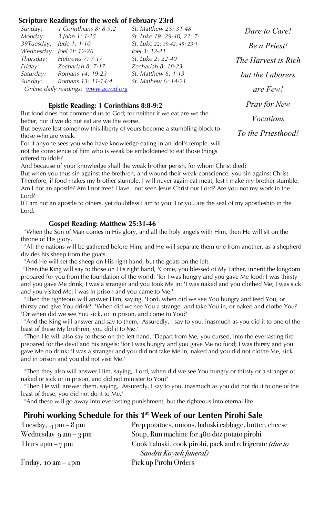### **Scripture Readings for the week of February 23rd**

| Sunday:                              | 1 Corinthians 8: 8-9:2    | St. Matthew 25: 31-48        |  |
|--------------------------------------|---------------------------|------------------------------|--|
|                                      | Monday: 3 John 1: 1-15    | St. Luke 19: 29-40, 22: 7-   |  |
| 39Tuesday: Jude 1: 1-10              |                           | St. Luke 22: 39-42, 45: 23:1 |  |
|                                      | Wednesday: Joel 21: 12-26 | Joel 3: 12-21                |  |
| Thursday:                            | Hebrews 7: 7-17           | St. Luke 2: 22-40            |  |
|                                      | Friday: Zechariah 8: 7-17 | Zechariah 8: 18-23           |  |
| Saturday:                            | Romans 14: 19-23          | <i>St. Matthew 6: 1-13</i>   |  |
| Sunday:                              | Romans 13: 11-14:4        | St. Mathew 6: 14-21          |  |
| Online daily readings: www.acrod.org |                           |                              |  |

### **Epistle Reading: 1 Corinthians 8:8-9:2**

But food does not commend us to God; for neither if we eat are we the better, nor if we do not eat are we the worse.

But beware lest somehow this liberty of yours become a stumbling block to those who are weak.

For if anyone sees you who have knowledge eating in an idol's temple, will not the conscience of him who is weak be emboldened to eat those things offered to idols?

And because of your knowledge shall the weak brother perish, for whom Christ died?

But when you thus sin against the brethren, and wound their weak conscience, you sin against Christ. Therefore, if food makes my brother stumble, I will never again eat meat, lest I make my brother stumble. Am I not an apostle? Am I not free? Have I not seen Jesus Christ our Lord? Are you not my work in the Lord?

If I am not an apostle to others, yet doubtless I am to you. For you are the seal of my apostleship in the Lord.

#### **Gospel Reading: Matthew 25:31-46**

 "When the Son of Man comes in His glory, and all the holy angels with Him, then He will sit on the throne of His glory.

 "All the nations will be gathered before Him, and He will separate them one from another, as a shepherd divides his sheep from the goats.

"And He will set the sheep on His right hand, but the goats on the left.

"Then the King will say to those on His right hand, 'Come, you blessed of My Father, inherit the kingdom prepared for you from the foundation of the world: 'for I was hungry and you gave Me food; I was thirsty and you gave Me drink; I was a stranger and you took Me in; 'I was naked and you clothed Me; I was sick and you visited Me; I was in prison and you came to Me.'

 "Then the righteous will answer Him, saying, 'Lord, when did we see You hungry and feed You, or thirsty and give You drink? 'When did we see You a stranger and take You in, or naked and clothe You? 'Or when did we see You sick, or in prison, and come to You?'

 "And the King will answer and say to them, 'Assuredly, I say to you, inasmuch as you did it to one of the least of these My brethren, you did it to Me.'

 "Then He will also say to those on the left hand, 'Depart from Me, you cursed, into the everlasting fire prepared for the devil and his angels: 'for I was hungry and you gave Me no food; I was thirsty and you gave Me no drink; 'I was a stranger and you did not take Me in, naked and you did not clothe Me, sick and in prison and you did not visit Me.'

 "Then they also will answer Him, saying, 'Lord, when did we see You hungry or thirsty or a stranger or naked or sick or in prison, and did not minister to You?'

 "Then He will answer them, saying, 'Assuredly, I say to you, inasmuch as you did not do it to one of the least of these, you did not do it to Me.'

"And these will go away into everlasting punishment, but the righteous into eternal life.

### Pirohi working Schedule for this 1<sup>st</sup> Week of our Lenten Pirohi Sale

| Tuesday, $4 \text{ pm} - 8 \text{ pm}$  | Prep potatoes, onions, haluski cabbage, butter, cheese  |
|-----------------------------------------|---------------------------------------------------------|
| Wednesday $9 \text{ am} - 3 \text{ pm}$ | Soup, Run machine for $480$ doz potato pirohi           |
| Thurs $2pm - 7pm$                       | Cook haluski, cook pirohi, pack and refrigerate (due to |
|                                         | Sandra Koytek funeral)                                  |
| Friday, 10 am $-4$ pm                   | Pick up Pirohi Orders                                   |

*Dare to Care! Be a Priest! The Harvest is Rich but the Laborers are Few! Pray for New Vocations To the Priesthood!*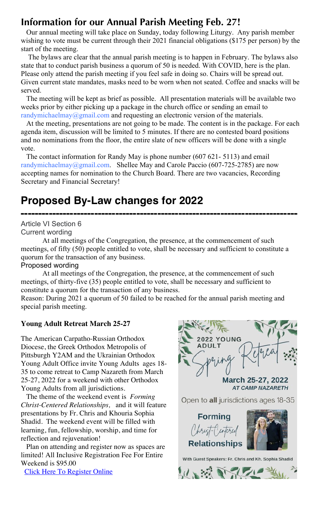### **Information for our Annual Parish Meeting Feb. 27!**

 Our annual meeting will take place on Sunday, today following Liturgy. Any parish member wishing to vote must be current through their 2021 financial obligations (\$175 per person) by the start of the meeting.

 The bylaws are clear that the annual parish meeting is to happen in February. The bylaws also state that to conduct parish business a quorum of 50 is needed. With COVID, here is the plan. Please only attend the parish meeting if you feel safe in doing so. Chairs will be spread out. Given current state mandates, masks need to be worn when not seated. Coffee and snacks will be served.

 The meeting will be kept as brief as possible. All presentation materials will be available two weeks prior by either picking up a package in the church office or sending an email to randymichaelmay@gmail.com and requesting an electronic version of the materials.

 At the meeting, presentations are not going to be made. The content is in the package. For each agenda item, discussion will be limited to 5 minutes. If there are no contested board positions and no nominations from the floor, the entire slate of new officers will be done with a single vote.

 The contact information for Randy May is phone number (607 621- 5113) and email randymichaelmay@gmail.com. Shellee May and Carole Paccio (607-725-2785) are now accepting names for nomination to the Church Board. There are two vacancies, Recording Secretary and Financial Secretary!

### **Proposed By-Law changes for 2022**

### **-------------------------------------------------------------------------------** Article VI Section 6 Current wording

At all meetings of the Congregation, the presence, at the commencement of such meetings, of fifty (50) people entitled to vote, shall be necessary and sufficient to constitute a quorum for the transaction of any business.

### Proposed wording

At all meetings of the Congregation, the presence, at the commencement of such meetings, of thirty-five (35) people entitled to vote, shall be necessary and sufficient to constitute a quorum for the transaction of any business.

Reason: During 2021 a quorum of 50 failed to be reached for the annual parish meeting and special parish meeting.

### **Young Adult Retreat March 25-27**

The American Carpatho-Russian Orthodox Diocese, the Greek Orthodox Metropolis of Pittsburgh Y2AM and the Ukrainian Orthodox Young Adult Office invite Young Adults ages 18- 35 to come retreat to Camp Nazareth from March 25-27, 2022 for a weekend with other Orthodox Young Adults from all jurisdictions.

 The theme of the weekend event is *Forming Christ-Centered Relationships,* and it will feature presentations by Fr. Chris and Khouria Sophia Shadid. The weekend event will be filled with learning, fun, fellowship, worship, and time for reflection and rejuvenation!

 Plan on attending and register now as spaces are limited! All Inclusive Registration Fee For Entire Weekend is \$95.00

Click Here To Register Online



March 25-27, 2022 **AT CAMP NAZARETH** 

Open to all jurisdictions ages 18-35





With Guest Speakers: Fr. Chris and Kh. Sophia Shadid

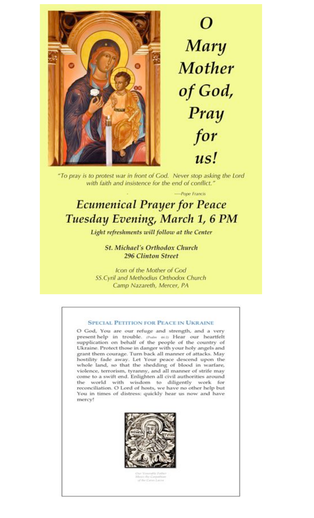

Mary **Mother** of God, Pray for us!

"To pray is to protest war in front of God. Never stop asking the Lord with faith and insistence for the end of conflict."

-Pope Francis

## **Ecumenical Prayer for Peace** Tuesday Evening, March 1, 6 PM

Light refreshments will follow at the Center

**St. Michael's Orthodox Church 296 Clinton Street** 

Icon of the Mother of God SS.Cyril and Methodius Orthodox Church Camp Nazareth, Mercer, PA

#### **SPECIAL PETITION FOR PEACE IN UKRAINE**

O God, You are our refuge and strength, and a very present help in trouble. (Poder 46:1) Hear our heartfelt supplication on behalf of the people of the country of Ukraine. Protect those in danger with your holy angels and grant them courage. Turn back all manner of attacks. May hostility fade away. Let Your peace descend upon the whole land, so that the shedding of blood in warfare, violence, terrorism, tyranny, and all manner of strife may come to a swift end. Enlighten all civil authorities around the world with wisdom to diligently work for reconciliation. O Lord of hosts, we have no other help but You in times of distress: quickly hear us now and have mercy!